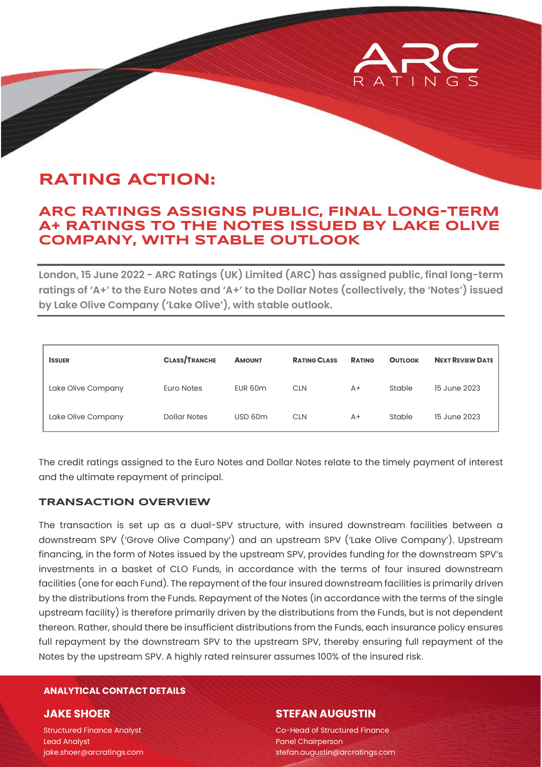# **RATING ACTION:**

## **ARC RATINGS ASSIGNS PUBLIC, FINAL LONG-TERM A+ RATINGS TO THE NOTES ISSUED BY LAKE OLIVE COMPANY, WITH STABLE OUTLOOK**

**London, 15 June 2022 - ARC Ratings (UK) Limited (ARC) has assigned public, final long-term ratings of 'A+' to the Euro Notes and 'A+' to the Dollar Notes (collectively, the 'Notes') issued by Lake Olive Company ('Lake Olive'), with stable outlook.** 

| <b>ISSUER</b>      | <b>CLASS/TRANCHE</b> | <b>AMOUNT</b> | <b>RATING CLASS</b> | <b>RATING</b> | <b>OUTLOOK</b> | <b>NEXT REVIEW DATE</b> |
|--------------------|----------------------|---------------|---------------------|---------------|----------------|-------------------------|
| Lake Olive Company | Euro Notes           | EUR 60m       | <b>CLN</b>          | $A+$          | Stable         | 15 June 2023            |
| Lake Olive Company | Dollar Notes         | USD 60m       | <b>CLN</b>          | $A+$          | Stable         | 15 June 2023            |

The credit ratings assigned to the Euro Notes and Dollar Notes relate to the timely payment of interest and the ultimate repayment of principal.

#### **TRANSACTION OVERVIEW**

The transaction is set up as a dual-SPV structure, with insured downstream facilities between a downstream SPV ('Grove Olive Company') and an upstream SPV ('Lake Olive Company'). Upstream financing, in the form of Notes issued by the upstream SPV, provides funding for the downstream SPV's investments in a basket of CLO Funds, in accordance with the terms of four insured downstream facilities (one for each Fund). The repayment of the four insured downstream facilities is primarily driven by the distributions from the Funds. Repayment of the Notes (in accordance with the terms of the single upstream facility) is therefore primarily driven by the distributions from the Funds, but is not dependent thereon. Rather, should there be insufficient distributions from the Funds, each insurance policy ensures full repayment by the downstream SPV to the upstream SPV, thereby ensuring full repayment of the Notes by the upstream SPV. A highly rated reinsurer assumes 100% of the insured risk.

#### **ANALYTICAL CONTACT DETAILS**

#### **JAKE SHOER**

Structured Finance Analyst Lead Analyst jake.shoer@arcratings.com

#### **STEFAN AUGUSTIN**

Co-Head of Structured Finance Panel Chairperson stefan.augustin@arcratings.com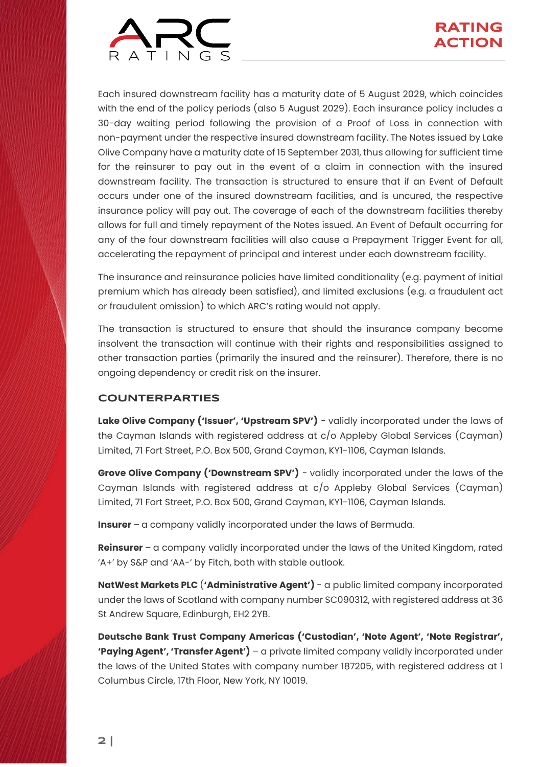

Each insured downstream facility has a maturity date of 5 August 2029, which coincides with the end of the policy periods (also 5 August 2029). Each insurance policy includes a 30-day waiting period following the provision of a Proof of Loss in connection with non-payment under the respective insured downstream facility. The Notes issued by Lake Olive Company have a maturity date of 15 September 2031, thus allowing for sufficient time for the reinsurer to pay out in the event of a claim in connection with the insured downstream facility. The transaction is structured to ensure that if an Event of Default occurs under one of the insured downstream facilities, and is uncured, the respective insurance policy will pay out. The coverage of each of the downstream facilities thereby allows for full and timely repayment of the Notes issued. An Event of Default occurring for any of the four downstream facilities will also cause a Prepayment Trigger Event for all, accelerating the repayment of principal and interest under each downstream facility.

The insurance and reinsurance policies have limited conditionality (e.g. payment of initial premium which has already been satisfied), and limited exclusions (e.g. a fraudulent act or fraudulent omission) to which ARC's rating would not apply.

The transaction is structured to ensure that should the insurance company become insolvent the transaction will continue with their rights and responsibilities assigned to other transaction parties (primarily the insured and the reinsurer). Therefore, there is no ongoing dependency or credit risk on the insurer.

### **COUNTERPARTIES**

**Lake Olive Company ('Issuer', 'Upstream SPV')** - validly incorporated under the laws of the Cayman Islands with registered address at c/o Appleby Global Services (Cayman) Limited, 71 Fort Street, P.O. Box 500, Grand Cayman, KY1-1106, Cayman Islands.

**Grove Olive Company ('Downstream SPV')** - validly incorporated under the laws of the Cayman Islands with registered address at c/o Appleby Global Services (Cayman) Limited, 71 Fort Street, P.O. Box 500, Grand Cayman, KY1-1106, Cayman Islands.

**Insurer** – a company validly incorporated under the laws of Bermuda.

**Reinsurer** – a company validly incorporated under the laws of the United Kingdom, rated 'A+' by S&P and 'AA-' by Fitch, both with stable outlook.

**NatWest Markets PLC** (**'Administrative Agent')** - a public limited company incorporated under the laws of Scotland with company number SC090312, with registered address at 36 St Andrew Square, Edinburgh, EH2 2YB.

**Deutsche Bank Trust Company Americas ('Custodian', 'Note Agent', 'Note Registrar', 'Paying Agent', 'Transfer Agent')** – a private limited company validly incorporated under the laws of the United States with company number 187205, with registered address at 1 Columbus Circle, 17th Floor, New York, NY 10019.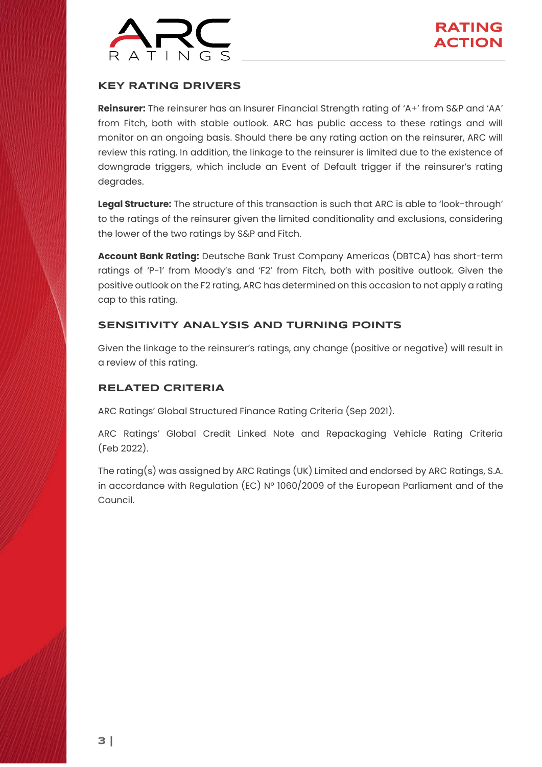

#### **KEY RATING DRIVERS**

**Reinsurer:** The reinsurer has an Insurer Financial Strength rating of 'A+' from S&P and 'AA' from Fitch, both with stable outlook. ARC has public access to these ratings and will monitor on an ongoing basis. Should there be any rating action on the reinsurer, ARC will review this rating. In addition, the linkage to the reinsurer is limited due to the existence of downgrade triggers, which include an Event of Default trigger if the reinsurer's rating degrades.

**Legal Structure:** The structure of this transaction is such that ARC is able to 'look-through' to the ratings of the reinsurer given the limited conditionality and exclusions, considering the lower of the two ratings by S&P and Fitch.

**Account Bank Rating:** Deutsche Bank Trust Company Americas (DBTCA) has short-term ratings of 'P-1' from Moody's and 'F2' from Fitch, both with positive outlook. Given the positive outlook on the F2 rating, ARC has determined on this occasion to not apply a rating cap to this rating.

#### **SENSITIVITY ANALYSIS AND TURNING POINTS**

Given the linkage to the reinsurer's ratings, any change (positive or negative) will result in a review of this rating.

#### **RELATED CRITERIA**

ARC Ratings' Global Structured Finance Rating Criteria (Sep [2021\)](https://arcratings.com/wp-content/uploads/2021/06/ARC-Ratings-Global-Structured-Finance-Criteria-30-Sep-2021.pdf).

ARC Ratings' Global Credit Linked Note and Repackaging Vehicle Rating Criteria (Feb [2022\)](https://arcratings.com/wp-content/uploads/2021/06/20220228_CLN-Criteria_update.pdf).

The rating(s) was assigned by ARC Ratings (UK) Limited and endorsed by ARC Ratings, S.A. in accordance with Regulation (EC) Nº 1060/2009 of the European Parliament and of the Council.